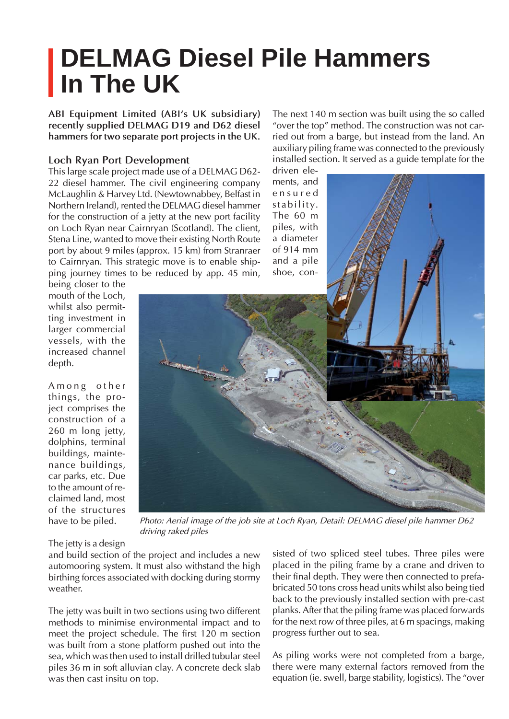## **DELMAG Diesel Pile Hammers In The UK**

**ABI Equipment Limited (ABI's UK subsidiary) recently supplied DELMAG D19 and D62 diesel hammers for two separate port projects in the UK.**

## **Loch Ryan Port Development**

This large scale project made use of a DELMAG D62- 22 diesel hammer. The civil engineering company McLaughlin & Harvey Ltd. (Newtownabbey, Belfast in Northern Ireland), rented the DELMAG diesel hammer for the construction of a jetty at the new port facility on Loch Ryan near Cairnryan (Scotland). The client, Stena Line, wanted to move their existing North Route port by about 9 miles (approx. 15 km) from Stranraer to Cairnryan. This strategic move is to enable shipping journey times to be reduced by app. 45 min,

The next 140 m section was built using the so called "over the top" method. The construction was not carried out from a barge, but instead from the land. An auxiliary piling frame was connected to the previously installed section. It served as a guide template for the

driven elements, and e n s u r e d stability. The 60 m piles, with a diameter of 914 mm and a pile shoe, con-

being closer to the mouth of the Loch, whilst also permitting investment in larger commercial vessels, with the increased channel depth.

Among other things, the project comprises the construction of a 260 m long jetty, dolphins, terminal buildings, maintenance buildings, car parks, etc. Due to the amount of reclaimed land, most of the structures have to be piled.



*Photo: Aerial image of the job site at Loch Ryan, Detail: DELMAG diesel pile hammer D62 driving raked piles*

The jetty is a design

and build section of the project and includes a new automooring system. It must also withstand the high birthing forces associated with docking during stormy weather.

The jetty was built in two sections using two different methods to minimise environmental impact and to meet the project schedule. The first 120 m section was built from a stone platform pushed out into the sea, which was then used to install drilled tubular steel piles 36 m in soft alluvian clay. A concrete deck slab was then cast insitu on top.

sisted of two spliced steel tubes. Three piles were placed in the piling frame by a crane and driven to their final depth. They were then connected to prefabricated 50 tons cross head units whilst also being tied back to the previously installed section with pre-cast planks. After that the piling frame was placed forwards for the next row of three piles, at 6 m spacings, making progress further out to sea.

As piling works were not completed from a barge, there were many external factors removed from the equation (ie. swell, barge stability, logistics). The "over